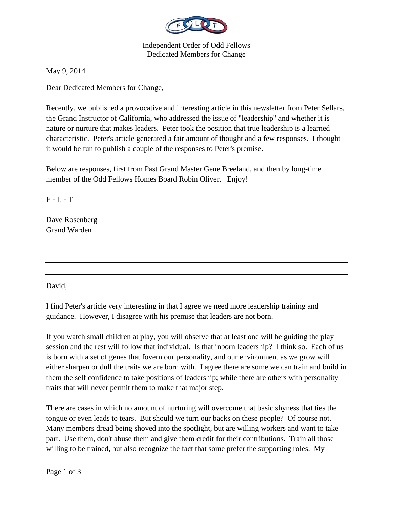

Independent Order of Odd Fellows Dedicated Members for Change

May 9, 2014

Dear Dedicated Members for Change,

Recently, we published a provocative and interesting article in this newsletter from Peter Sellars, the Grand Instructor of California, who addressed the issue of "leadership" and whether it is nature or nurture that makes leaders. Peter took the position that true leadership is a learned characteristic. Peter's article generated a fair amount of thought and a few responses. I thought it would be fun to publish a couple of the responses to Peter's premise.

Below are responses, first from Past Grand Master Gene Breeland, and then by long-time member of the Odd Fellows Homes Board Robin Oliver. Enjoy!

 $F - L - T$ 

Dave Rosenberg Grand Warden

David,

I find Peter's article very interesting in that I agree we need more leadership training and guidance. However, I disagree with his premise that leaders are not born.

If you watch small children at play, you will observe that at least one will be guiding the play session and the rest will follow that individual. Is that inborn leadership? I think so. Each of us is born with a set of genes that fovern our personality, and our environment as we grow will either sharpen or dull the traits we are born with. I agree there are some we can train and build in them the self confidence to take positions of leadership; while there are others with personality traits that will never permit them to make that major step.

There are cases in which no amount of nurturing will overcome that basic shyness that ties the tongue or even leads to tears. But should we turn our backs on these people? Of course not. Many members dread being shoved into the spotlight, but are willing workers and want to take part. Use them, don't abuse them and give them credit for their contributions. Train all those willing to be trained, but also recognize the fact that some prefer the supporting roles. My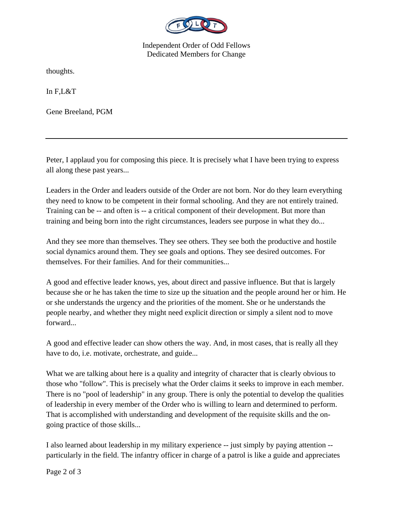

Independent Order of Odd Fellows Dedicated Members for Change

thoughts.

In F,L&T

Gene Breeland, PGM

Peter, I applaud you for composing this piece. It is precisely what I have been trying to express all along these past years...

Leaders in the Order and leaders outside of the Order are not born. Nor do they learn everything they need to know to be competent in their formal schooling. And they are not entirely trained. Training can be -- and often is -- a critical component of their development. But more than training and being born into the right circumstances, leaders see purpose in what they do...

And they see more than themselves. They see others. They see both the productive and hostile social dynamics around them. They see goals and options. They see desired outcomes. For themselves. For their families. And for their communities...

A good and effective leader knows, yes, about direct and passive influence. But that is largely because she or he has taken the time to size up the situation and the people around her or him. He or she understands the urgency and the priorities of the moment. She or he understands the people nearby, and whether they might need explicit direction or simply a silent nod to move forward...

A good and effective leader can show others the way. And, in most cases, that is really all they have to do, i.e. motivate, orchestrate, and guide...

What we are talking about here is a quality and integrity of character that is clearly obvious to those who "follow". This is precisely what the Order claims it seeks to improve in each member. There is no "pool of leadership" in any group. There is only the potential to develop the qualities of leadership in every member of the Order who is willing to learn and determined to perform. That is accomplished with understanding and development of the requisite skills and the ongoing practice of those skills...

I also learned about leadership in my military experience -- just simply by paying attention - particularly in the field. The infantry officer in charge of a patrol is like a guide and appreciates